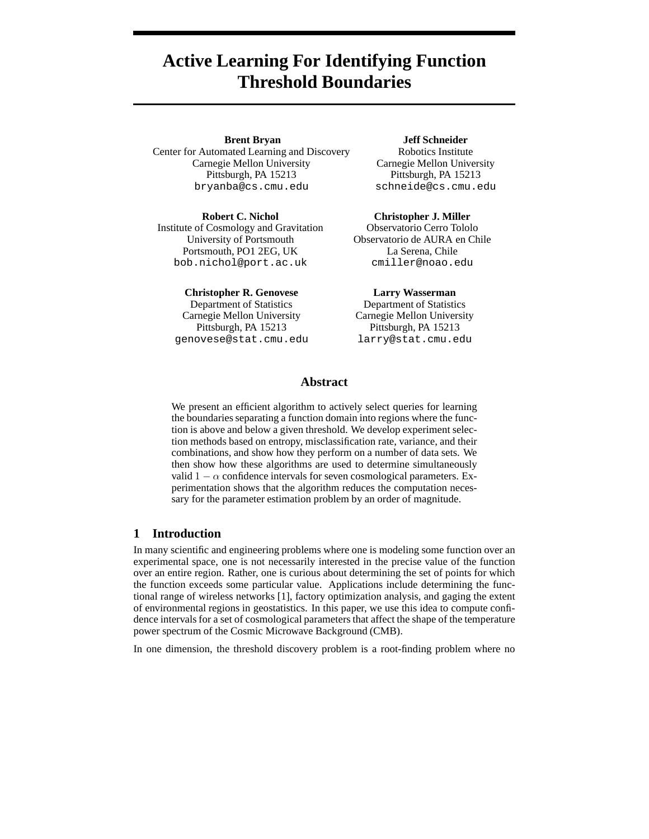# **Active Learning For Identifying Function Threshold Boundaries**

**Brent Bryan** Center for Automated Learning and Discovery Carnegie Mellon University Pittsburgh, PA 15213 bryanba@cs.cmu.edu

**Robert C. Nichol** Institute of Cosmology and Gravitation University of Portsmouth Portsmouth, PO1 2EG, UK bob.nichol@port.ac.uk

> **Christopher R. Genovese** Department of Statistics Carnegie Mellon University Pittsburgh, PA 15213 genovese@stat.cmu.edu

**Jeff Schneider** Robotics Institute Carnegie Mellon University Pittsburgh, PA 15213 schneide@cs.cmu.edu

**Christopher J. Miller** Observatorio Cerro Tololo Observatorio de AURA en Chile La Serena, Chile cmiller@noao.edu

**Larry Wasserman** Department of Statistics Carnegie Mellon University Pittsburgh, PA 15213 larry@stat.cmu.edu

## **Abstract**

We present an efficient algorithm to actively select queries for learning the boundaries separating a function domain into regions where the function is above and below a given threshold. We develop experiment selection methods based on entropy, misclassification rate, variance, and their combinations, and show how they perform on a number of data sets. We then show how these algorithms are used to determine simultaneously valid  $1 - \alpha$  confidence intervals for seven cosmological parameters. Experimentation shows that the algorithm reduces the computation necessary for the parameter estimation problem by an order of magnitude.

## **1 Introduction**

In many scientific and engineering problems where one is modeling some function over an experimental space, one is not necessarily interested in the precise value of the function over an entire region. Rather, one is curious about determining the set of points for which the function exceeds some particular value. Applications include determining the functional range of wireless networks [1], factory optimization analysis, and gaging the extent of environmental regions in geostatistics. In this paper, we use this idea to compute confidence intervals for a set of cosmological parameters that affect the shape of the temperature power spectrum of the Cosmic Microwave Background (CMB).

In one dimension, the threshold discovery problem is a root-finding problem where no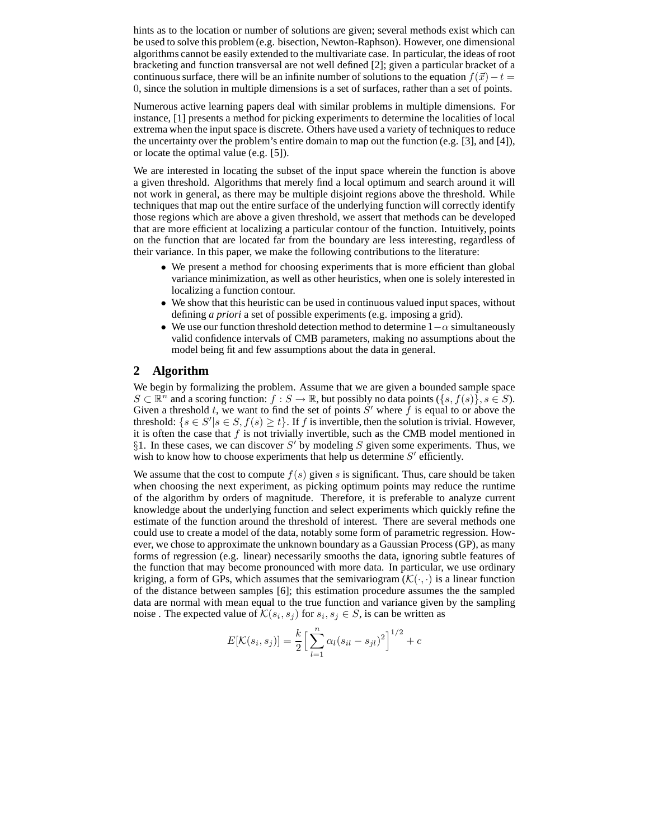hints as to the location or number of solutions are given; several methods exist which can be used to solve this problem (e.g. bisection, Newton-Raphson). However, one dimensional algorithms cannot be easily extended to the multivariate case. In particular, the ideas of root bracketing and function transversal are not well defined [2]; given a particular bracket of a continuous surface, there will be an infinite number of solutions to the equation  $f(\vec{x}) - t =$ 0, since the solution in multiple dimensions is a set of surfaces, rather than a set of points.

Numerous active learning papers deal with similar problems in multiple dimensions. For instance, [1] presents a method for picking experiments to determine the localities of local extrema when the input space is discrete. Others have used a variety of techniques to reduce the uncertainty over the problem's entire domain to map out the function (e.g. [3], and [4]), or locate the optimal value (e.g. [5]).

We are interested in locating the subset of the input space wherein the function is above a given threshold. Algorithms that merely find a local optimum and search around it will not work in general, as there may be multiple disjoint regions above the threshold. While techniques that map out the entire surface of the underlying function will correctly identify those regions which are above a given threshold, we assert that methods can be developed that are more efficient at localizing a particular contour of the function. Intuitively, points on the function that are located far from the boundary are less interesting, regardless of their variance. In this paper, we make the following contributions to the literature:

- We present a method for choosing experiments that is more efficient than global variance minimization, as well as other heuristics, when one is solely interested in localizing a function contour.
- We show that this heuristic can be used in continuous valued input spaces, without defining *a priori* a set of possible experiments (e.g. imposing a grid).
- We use our function threshold detection method to determine  $1-\alpha$  simultaneously valid confidence intervals of CMB parameters, making no assumptions about the model being fit and few assumptions about the data in general.

# **2 Algorithm**

We begin by formalizing the problem. Assume that we are given a bounded sample space  $S \subset \mathbb{R}^n$  and a scoring function:  $f : S \to \mathbb{R}$ , but possibly no data points  $(\{s, f(s)\}, s \in S)$ . Given a threshold t, we want to find the set of points  $S'$  where f is equal to or above the threshold:  $\{s \in S' | s \in S, f(s) \ge t\}$ . If f is invertible, then the solution is trivial. However, it is often the case that  $f$  is not trivially invertible, such as the CMB model mentioned in §1. In these cases, we can discover S' by modeling S given some experiments. Thus, we wish to know how to choose experiments that help us determine  $S'$  efficiently.

We assume that the cost to compute  $f(s)$  given s is significant. Thus, care should be taken when choosing the next experiment, as picking optimum points may reduce the runtime of the algorithm by orders of magnitude. Therefore, it is preferable to analyze current knowledge about the underlying function and select experiments which quickly refine the estimate of the function around the threshold of interest. There are several methods one could use to create a model of the data, notably some form of parametric regression. However, we chose to approximate the unknown boundary as a Gaussian Process (GP), as many forms of regression (e.g. linear) necessarily smooths the data, ignoring subtle features of the function that may become pronounced with more data. In particular, we use ordinary kriging, a form of GPs, which assumes that the semivariogram  $(K(\cdot, \cdot))$  is a linear function of the distance between samples [6]; this estimation procedure assumes the the sampled data are normal with mean equal to the true function and variance given by the sampling noise . The expected value of  $\mathcal{K}(s_i, s_j)$  for  $s_i, s_j \in S$ , is can be written as

$$
E[\mathcal{K}(s_i, s_j)] = \frac{k}{2} \Big[ \sum_{l=1}^{n} \alpha_l (s_{il} - s_{jl})^2 \Big]^{1/2} + c
$$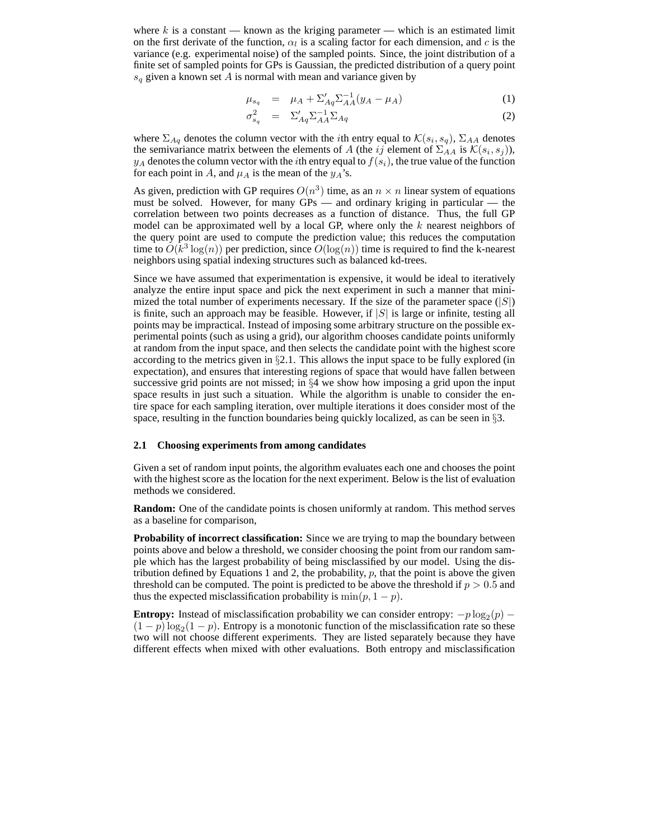where k is a constant — known as the kriging parameter — which is an estimated limit on the first derivate of the function,  $\alpha_l$  is a scaling factor for each dimension, and c is the variance (e.g. experimental noise) of the sampled points. Since, the joint distribution of a finite set of sampled points for GPs is Gaussian, the predicted distribution of a query point  $s_q$  given a known set A is normal with mean and variance given by

$$
\mu_{s_q} = \mu_A + \Sigma'_{Aq} \Sigma_{AA}^{-1} (y_A - \mu_A) \tag{1}
$$

$$
\sigma_{s_q}^2 = \Sigma'_{Aq} \Sigma_{AA}^{-1} \Sigma_{Aq} \tag{2}
$$

where  $\Sigma_{Aq}$  denotes the column vector with the *i*th entry equal to  $\mathcal{K}(s_i, s_q)$ ,  $\Sigma_{AA}$  denotes the semivariance matrix between the elements of A (the ij element of  $\Sigma_{AA}$  is  $\mathcal{K}(s_i, s_j)$ ),  $y_A$  denotes the column vector with the *i*th entry equal to  $f(s_i)$ , the true value of the function for each point in A, and  $\mu_A$  is the mean of the  $y_A$ 's.

As given, prediction with GP requires  $O(n^3)$  time, as an  $n \times n$  linear system of equations must be solved. However, for many  $GPs$  — and ordinary kriging in particular — the correlation between two points decreases as a function of distance. Thus, the full GP model can be approximated well by a local GP, where only the  $k$  nearest neighbors of the query point are used to compute the prediction value; this reduces the computation time to  $O(k^3 \log(n))$  per prediction, since  $O(\log(n))$  time is required to find the k-nearest neighbors using spatial indexing structures such as balanced kd-trees.

Since we have assumed that experimentation is expensive, it would be ideal to iteratively analyze the entire input space and pick the next experiment in such a manner that minimized the total number of experiments necessary. If the size of the parameter space  $(|S|)$ is finite, such an approach may be feasible. However, if  $|S|$  is large or infinite, testing all points may be impractical. Instead of imposing some arbitrary structure on the possible experimental points (such as using a grid), our algorithm chooses candidate points uniformly at random from the input space, and then selects the candidate point with the highest score according to the metrics given in  $\S 2.1$ . This allows the input space to be fully explored (in expectation), and ensures that interesting regions of space that would have fallen between successive grid points are not missed; in §4 we show how imposing a grid upon the input space results in just such a situation. While the algorithm is unable to consider the entire space for each sampling iteration, over multiple iterations it does consider most of the space, resulting in the function boundaries being quickly localized, as can be seen in  $\S$ 3.

#### **2.1 Choosing experiments from among candidates**

Given a set of random input points, the algorithm evaluates each one and chooses the point with the highest score as the location for the next experiment. Below is the list of evaluation methods we considered.

**Random:** One of the candidate points is chosen uniformly at random. This method serves as a baseline for comparison,

**Probability of incorrect classification:** Since we are trying to map the boundary between points above and below a threshold, we consider choosing the point from our random sample which has the largest probability of being misclassified by our model. Using the distribution defined by Equations 1 and 2, the probability,  $p$ , that the point is above the given threshold can be computed. The point is predicted to be above the threshold if  $p > 0.5$  and thus the expected misclassification probability is  $min(p, 1 - p)$ .

**Entropy:** Instead of misclassification probability we can consider entropy:  $-p \log_2(p)$  –  $(1-p) \log_2(1-p)$ . Entropy is a monotonic function of the misclassification rate so these two will not choose different experiments. They are listed separately because they have different effects when mixed with other evaluations. Both entropy and misclassification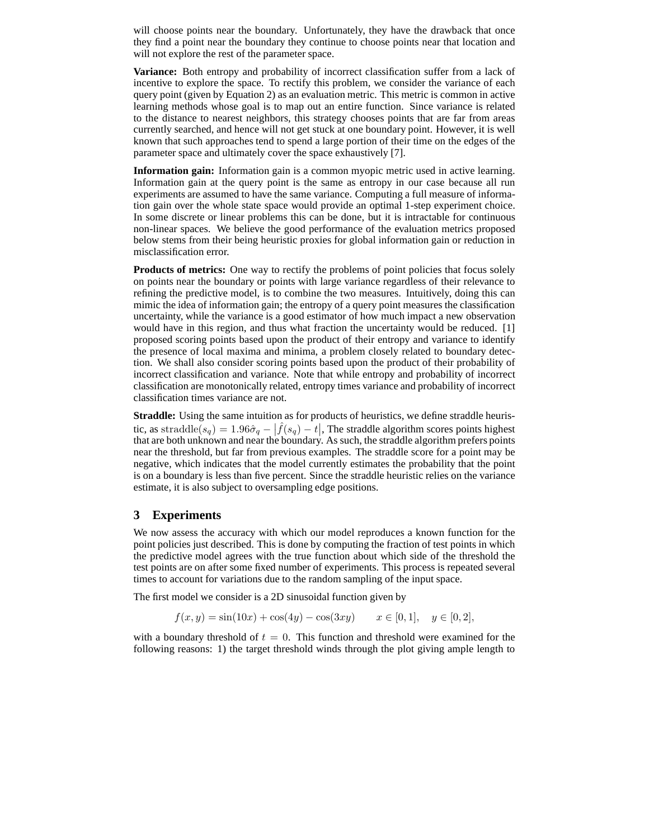will choose points near the boundary. Unfortunately, they have the drawback that once they find a point near the boundary they continue to choose points near that location and will not explore the rest of the parameter space.

**Variance:** Both entropy and probability of incorrect classification suffer from a lack of incentive to explore the space. To rectify this problem, we consider the variance of each query point (given by Equation 2) as an evaluation metric. This metric is common in active learning methods whose goal is to map out an entire function. Since variance is related to the distance to nearest neighbors, this strategy chooses points that are far from areas currently searched, and hence will not get stuck at one boundary point. However, it is well known that such approaches tend to spend a large portion of their time on the edges of the parameter space and ultimately cover the space exhaustively [7].

**Information gain:** Information gain is a common myopic metric used in active learning. Information gain at the query point is the same as entropy in our case because all run experiments are assumed to have the same variance. Computing a full measure of information gain over the whole state space would provide an optimal 1-step experiment choice. In some discrete or linear problems this can be done, but it is intractable for continuous non-linear spaces. We believe the good performance of the evaluation metrics proposed below stems from their being heuristic proxies for global information gain or reduction in misclassification error.

**Products of metrics:** One way to rectify the problems of point policies that focus solely on points near the boundary or points with large variance regardless of their relevance to refining the predictive model, is to combine the two measures. Intuitively, doing this can mimic the idea of information gain; the entropy of a query point measures the classification uncertainty, while the variance is a good estimator of how much impact a new observation would have in this region, and thus what fraction the uncertainty would be reduced. [1] proposed scoring points based upon the product of their entropy and variance to identify the presence of local maxima and minima, a problem closely related to boundary detection. We shall also consider scoring points based upon the product of their probability of incorrect classification and variance. Note that while entropy and probability of incorrect classification are monotonically related, entropy times variance and probability of incorrect classification times variance are not.

**Straddle:** Using the same intuition as for products of heuristics, we define straddle heuristic, as straddle $(s_q) = 1.96\hat{\sigma}_q - |\hat{f}(s_q) - t|$ , The straddle algorithm scores points highest<br>that are hoth unknown and pear the boundary. As such the straddle algorithm prefere points that are both unknown and near the boundary. As such, the straddle algorithm prefers points near the threshold, but far from previous examples. The straddle score for a point may be negative, which indicates that the model currently estimates the probability that the point is on a boundary is less than five percent. Since the straddle heuristic relies on the variance estimate, it is also subject to oversampling edge positions.

## **3 Experiments**

We now assess the accuracy with which our model reproduces a known function for the point policies just described. This is done by computing the fraction of test points in which the predictive model agrees with the true function about which side of the threshold the test points are on after some fixed number of experiments. This process is repeated several times to account for variations due to the random sampling of the input space.

The first model we consider is a 2D sinusoidal function given by

$$
f(x, y) = \sin(10x) + \cos(4y) - \cos(3xy) \qquad x \in [0, 1], \quad y \in [0, 2],
$$

with a boundary threshold of  $t = 0$ . This function and threshold were examined for the following reasons: 1) the target threshold winds through the plot giving ample length to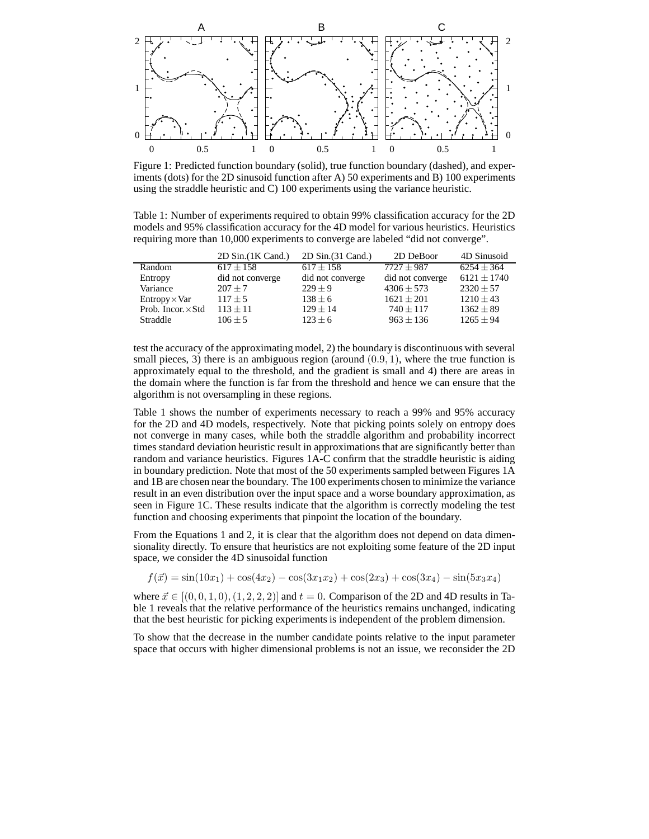

Figure 1: Predicted function boundary (solid), true function boundary (dashed), and experiments (dots) for the 2D sinusoid function after A) 50 experiments and B) 100 experiments using the straddle heuristic and C) 100 experiments using the variance heuristic.

Table 1: Number of experiments required to obtain 99% classification accuracy for the 2D models and 95% classification accuracy for the 4D model for various heuristics. Heuristics requiring more than 10,000 experiments to converge are labeled "did not converge".

|                        | $2D$ Sin. $(1K$ Cand.) | $2D$ Sin. $(31$ Cand.) | 2D DeBoor        | 4D Sinusoid     |
|------------------------|------------------------|------------------------|------------------|-----------------|
| Random                 | $617 \pm 158$          | $617 \pm 158$          | $7727 + 987$     | $6254 + 364$    |
| Entropy                | did not converge       | did not converge       | did not converge | $6121 \pm 1740$ |
| Variance               | $207 + 7$              | $229 + 9$              | $4306 \pm 573$   | $2320 \pm 57$   |
| $Entropy \times Var$   | $117 + 5$              | $138 \pm 6$            | $1621 \pm 201$   | $1210 \pm 43$   |
| Prob. Incor $x > S$ td | $113 + 11$             | $129 + 14$             | $740 + 117$      | $1362 \pm 89$   |
| Straddle               | $106 + 5$              | $123 \pm 6$            | $963 \pm 136$    | $1265 \pm 94$   |

test the accuracy of the approximating model, 2) the boundary is discontinuous with several small pieces, 3) there is an ambiguous region (around  $(0.9, 1)$ , where the true function is approximately equal to the threshold, and the gradient is small and 4) there are areas in the domain where the function is far from the threshold and hence we can ensure that the algorithm is not oversampling in these regions.

Table 1 shows the number of experiments necessary to reach a 99% and 95% accuracy for the 2D and 4D models, respectively. Note that picking points solely on entropy does not converge in many cases, while both the straddle algorithm and probability incorrect times standard deviation heuristic result in approximations that are significantly better than random and variance heuristics. Figures 1A-C confirm that the straddle heuristic is aiding in boundary prediction. Note that most of the 50 experiments sampled between Figures 1A and 1B are chosen near the boundary. The 100 experiments chosen to minimize the variance result in an even distribution over the input space and a worse boundary approximation, as seen in Figure 1C. These results indicate that the algorithm is correctly modeling the test function and choosing experiments that pinpoint the location of the boundary.

From the Equations 1 and 2, it is clear that the algorithm does not depend on data dimensionality directly. To ensure that heuristics are not exploiting some feature of the 2D input space, we consider the 4D sinusoidal function

$$
f(\vec{x}) = \sin(10x_1) + \cos(4x_2) - \cos(3x_1x_2) + \cos(2x_3) + \cos(3x_4) - \sin(5x_3x_4)
$$

where  $\vec{x} \in [(0, 0, 1, 0), (1, 2, 2, 2)]$  and  $t = 0$ . Comparison of the 2D and 4D results in Table 1 reveals that the relative performance of the heuristics remains unchanged, indicating that the best heuristic for picking experiments is independent of the problem dimension.

To show that the decrease in the number candidate points relative to the input parameter space that occurs with higher dimensional problems is not an issue, we reconsider the 2D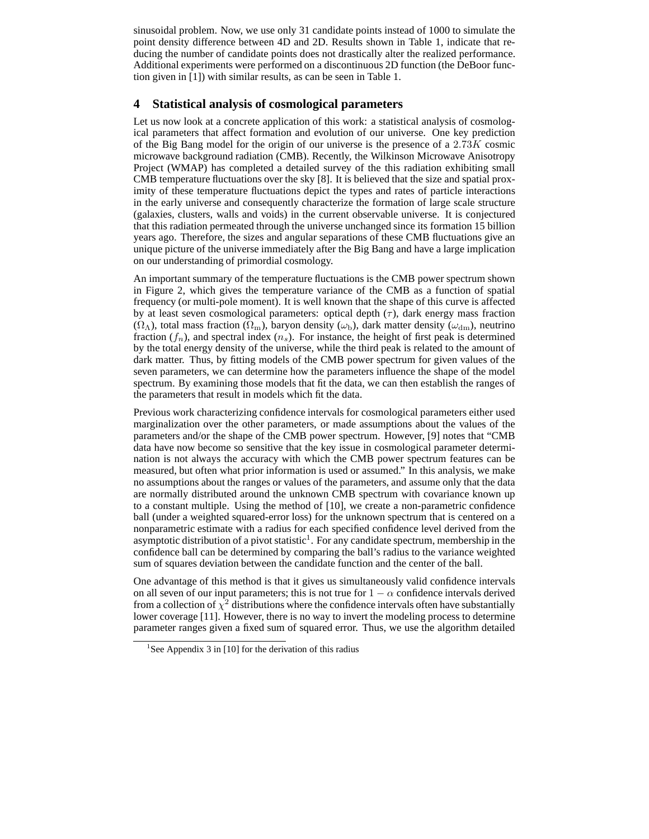sinusoidal problem. Now, we use only 31 candidate points instead of 1000 to simulate the point density difference between 4D and 2D. Results shown in Table 1, indicate that reducing the number of candidate points does not drastically alter the realized performance. Additional experiments were performed on a discontinuous 2D function (the DeBoor function given in [1]) with similar results, as can be seen in Table 1.

# **4 Statistical analysis of cosmological parameters**

Let us now look at a concrete application of this work: a statistical analysis of cosmological parameters that affect formation and evolution of our universe. One key prediction of the Big Bang model for the origin of our universe is the presence of a 2.73K cosmic microwave background radiation (CMB). Recently, the Wilkinson Microwave Anisotropy Project (WMAP) has completed a detailed survey of the this radiation exhibiting small CMB temperature fluctuations over the sky [8]. It is believed that the size and spatial proximity of these temperature fluctuations depict the types and rates of particle interactions in the early universe and consequently characterize the formation of large scale structure (galaxies, clusters, walls and voids) in the current observable universe. It is conjectured that this radiation permeated through the universe unchanged since its formation 15 billion years ago. Therefore, the sizes and angular separations of these CMB fluctuations give an unique picture of the universe immediately after the Big Bang and have a large implication on our understanding of primordial cosmology.

An important summary of the temperature fluctuations is the CMB power spectrum shown in Figure 2, which gives the temperature variance of the CMB as a function of spatial frequency (or multi-pole moment). It is well known that the shape of this curve is affected by at least seven cosmological parameters: optical depth  $(\tau)$ , dark energy mass fraction  $(\Omega_{\Lambda})$ , total mass fraction  $(\Omega_{\rm m})$ , baryon density ( $\omega_{\rm b}$ ), dark matter density ( $\omega_{\rm dm}$ ), neutrino fraction  $(f_n)$ , and spectral index  $(n_s)$ . For instance, the height of first peak is determined by the total energy density of the universe, while the third peak is related to the amount of dark matter. Thus, by fitting models of the CMB power spectrum for given values of the seven parameters, we can determine how the parameters influence the shape of the model spectrum. By examining those models that fit the data, we can then establish the ranges of the parameters that result in models which fit the data.

Previous work characterizing confidence intervals for cosmological parameters either used marginalization over the other parameters, or made assumptions about the values of the parameters and/or the shape of the CMB power spectrum. However, [9] notes that "CMB data have now become so sensitive that the key issue in cosmological parameter determination is not always the accuracy with which the CMB power spectrum features can be measured, but often what prior information is used or assumed." In this analysis, we make no assumptions about the ranges or values of the parameters, and assume only that the data are normally distributed around the unknown CMB spectrum with covariance known up to a constant multiple. Using the method of [10], we create a non-parametric confidence ball (under a weighted squared-error loss) for the unknown spectrum that is centered on a nonparametric estimate with a radius for each specified confidence level derived from the asymptotic distribution of a pivot statistic<sup>1</sup>. For any candidate spectrum, membership in the confidence ball can be determined by comparing the ball's radius to the variance weighted sum of squares deviation between the candidate function and the center of the ball.

One advantage of this method is that it gives us simultaneously valid confidence intervals on all seven of our input parameters; this is not true for  $1 - \alpha$  confidence intervals derived from a collection of  $\chi^2$  distributions where the confidence intervals often have substantially lower coverage [11]. However, there is no way to invert the modeling process to determine parameter ranges given a fixed sum of squared error. Thus, we use the algorithm detailed

<sup>&</sup>lt;sup>1</sup>See Appendix 3 in [10] for the derivation of this radius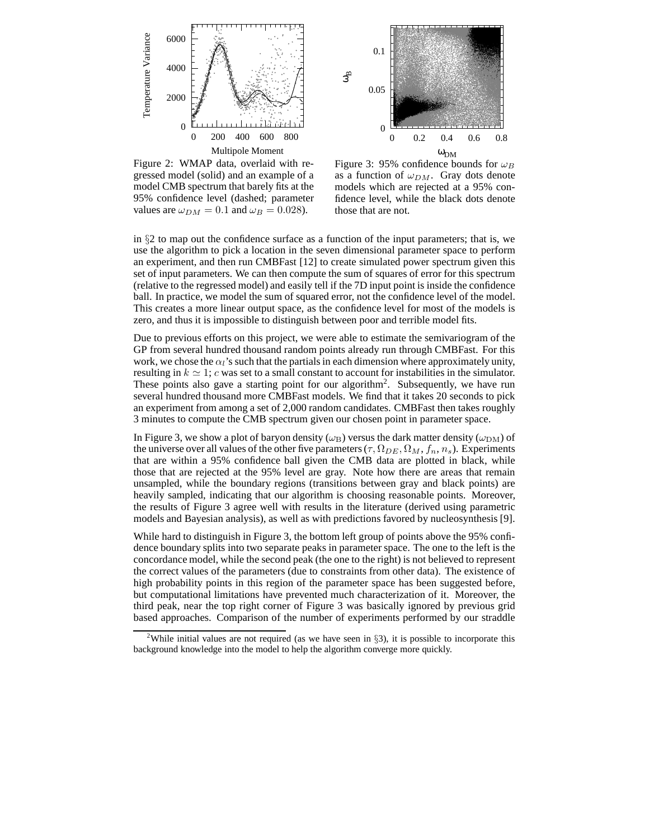

Figure 2: WMAP data, overlaid with regressed model (solid) and an example of a model CMB spectrum that barely fits at the 95% confidence level (dashed; parameter values are  $\omega_{DM} = 0.1$  and  $\omega_B = 0.028$ ).

Figure 3: 95% confidence bounds for  $\omega_B$ as a function of  $\omega_{DM}$ . Gray dots denote models which are rejected at a 95% confidence level, while the black dots denote those that are not.

in §2 to map out the confidence surface as a function of the input parameters; that is, we use the algorithm to pick a location in the seven dimensional parameter space to perform an experiment, and then run CMBFast [12] to create simulated power spectrum given this set of input parameters. We can then compute the sum of squares of error for this spectrum (relative to the regressed model) and easily tell if the 7D input point is inside the confidence ball. In practice, we model the sum of squared error, not the confidence level of the model. This creates a more linear output space, as the confidence level for most of the models is zero, and thus it is impossible to distinguish between poor and terrible model fits.

Due to previous efforts on this project, we were able to estimate the semivariogram of the GP from several hundred thousand random points already run through CMBFast. For this work, we chose the  $\alpha_l$ 's such that the partials in each dimension where approximately unity, resulting in  $k \approx 1$ ; c was set to a small constant to account for instabilities in the simulator. These points also gave a starting point for our algorithm<sup>2</sup>. Subsequently, we have run several hundred thousand more CMBFast models. We find that it takes 20 seconds to pick an experiment from among a set of 2,000 random candidates. CMBFast then takes roughly 3 minutes to compute the CMB spectrum given our chosen point in parameter space.

In Figure 3, we show a plot of baryon density ( $\omega_B$ ) versus the dark matter density ( $\omega_{DM}$ ) of the universe over all values of the other five parameters ( $\tau$ ,  $\Omega_{DE}$ ,  $\Omega_M$ ,  $f_n$ ,  $n_s$ ). Experiments that are within a 95% confidence ball given the CMB data are plotted in black, while those that are rejected at the 95% level are gray. Note how there are areas that remain unsampled, while the boundary regions (transitions between gray and black points) are heavily sampled, indicating that our algorithm is choosing reasonable points. Moreover, the results of Figure 3 agree well with results in the literature (derived using parametric models and Bayesian analysis), as well as with predictions favored by nucleosynthesis [9].

While hard to distinguish in Figure 3, the bottom left group of points above the 95% confidence boundary splits into two separate peaks in parameter space. The one to the left is the concordance model, while the second peak (the one to the right) is not believed to represent the correct values of the parameters (due to constraints from other data). The existence of high probability points in this region of the parameter space has been suggested before, but computational limitations have prevented much characterization of it. Moreover, the third peak, near the top right corner of Figure 3 was basically ignored by previous grid based approaches. Comparison of the number of experiments performed by our straddle

<sup>&</sup>lt;sup>2</sup>While initial values are not required (as we have seen in  $\S$ 3), it is possible to incorporate this background knowledge into the model to help the algorithm converge more quickly.